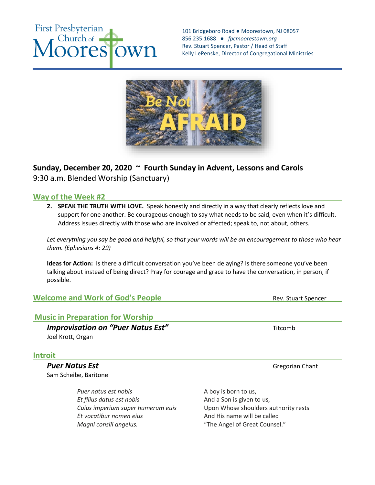# **First Presbyterian** Church of **pres** Wn

101 Bridgeboro Road ● Moorestown, NJ 08057 856.235.1688 *● fpcmoorestown.org*  Rev. Stuart Spencer, Pastor / Head of Staff Kelly LePenske, Director of Congregational Ministries



# **Sunday, December 20, 2020 ~ Fourth Sunday in Advent, Lessons and Carols**  9:30 a.m. Blended Worship (Sanctuary)

## **Way of the Week #2**

**2. SPEAK THE TRUTH WITH LOVE.** Speak honestly and directly in a way that clearly reflects love and support for one another. Be courageous enough to say what needs to be said, even when it's difficult. Address issues directly with those who are involved or affected; speak to, not about, others.

*Let everything you say be good and helpful, so that your words will be an encouragement to those who hear them. (Ephesians 4: 29)*

**Ideas for Action:** Is there a difficult conversation you've been delaying? Is there someone you've been talking about instead of being direct? Pray for courage and grace to have the conversation, in person, if possible.

**Welcome and Work of God's People** Rev. Stuart Spencer

## **Music in Preparation for Worship**

*Improvisation on "Puer Natus Est"* Titcomb Joel Krott, Organ

## **Introit**

**Puer Natus Est** Gregorian Chant Sam Scheibe, Baritone

> *Puer natus est nobis* A boy is born to us, *Et filius datus est nobis* And a Son is given to us, *Et vocatibur nomen eius* And His name will be called *Magni consili angelus.* "The Angel of Great Counsel."

*Cuius imperium super humerum euis* Upon Whose shoulders authority rests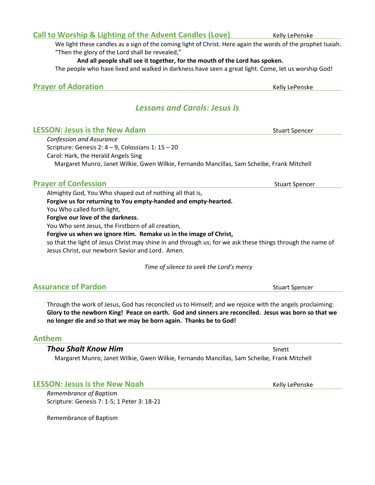**Prayer of Adoration** 

# *Lessons and Carols: Jesus Is*

| <b>LESSON: Jesus is the New Adam</b>                                                       | <b>Stuart Spencer</b> |
|--------------------------------------------------------------------------------------------|-----------------------|
| Confession and Assurance                                                                   |                       |
| Scripture: Genesis 2: $4 - 9$ , Colossians 1: $15 - 20$                                    |                       |
| Carol: Hark, the Herald Angels Sing                                                        |                       |
| Margaret Munro, Janet Wilkie, Gwen Wilkie, Fernando Mancillas, Sam Scheibe, Frank Mitchell |                       |

## **Prayer of Confession** Stuart Spencer Stuart Spencer Stuart Spencer

Almighty God, You Who shaped out of nothing all that is, **Forgive us for returning to You empty-handed and empty-hearted.** You Who called forth light, **Forgive our love of the darkness.** You Who sent Jesus, the Firstborn of all creation, **Forgive us when we ignore Him. Remake us in the image of Christ,**

so that the light of Jesus Christ may shine in and through us; for we ask these things through the name of Jesus Christ, our newborn Savior and Lord. Amen.

*Time of silence to seek the Lord's mercy*

| <b>Assurance of Pardon</b> | <b>Stuart Spencer</b> |
|----------------------------|-----------------------|
|                            |                       |

Through the work of Jesus, God has reconciled us to Himself; and we rejoice with the angels proclaiming: Glory to the newborn King! Peace on earth. God and sinners are reconciled. Jesus was born so that we **no longer die and so that we may be born again. Thanks be to God!**

## **Anthem**

## **Thou Shalt Know Him** Sinett **Shall Shall Construction** Sinett

Margaret Munro, Janet Wilkie, Gwen Wilkie, Fernando Mancillas, Sam Scheibe, Frank Mitchell

## **LESSON: Jesus is the New Noah** *Kelly Lepenske*

*Remembrance of Baptism* Scripture: Genesis 7: 1-5; 1 Peter 3: 18-21

Remembrance of Baptism

**Call to Worship & Lighting of the Advent Candles (Love)** Kelly LePenske

We light these candles as a sign of the coming light of Christ. Here again the words of the prophet Isaiah. "Then the glory of the Lord shall be revealed,"

**And all people shall see it together, for the mouth of the Lord has spoken.**  The people who have lived and walked in darkness have seen a great light. Come, let us worship God!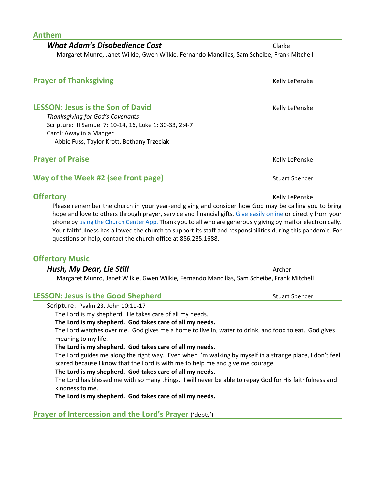| Anthem                                                                                     |        |
|--------------------------------------------------------------------------------------------|--------|
| <b>What Adam's Disobedience Cost</b>                                                       | Clarke |
| Margaret Munro, Janet Wilkie, Gwen Wilkie, Fernando Mancillas, Sam Scheibe, Frank Mitchell |        |

| <b>Prayer of Thanksgiving</b>                           | Kelly LePenske        |
|---------------------------------------------------------|-----------------------|
| <b>LESSON: Jesus is the Son of David</b>                | Kelly LePenske        |
| Thanksgiving for God's Covenants                        |                       |
| Scripture: Il Samuel 7: 10-14, 16, Luke 1: 30-33, 2:4-7 |                       |
| Carol: Away in a Manger                                 |                       |
| Abbie Fuss, Taylor Krott, Bethany Trzeciak              |                       |
| <b>Prayer of Praise</b>                                 | Kelly LePenske        |
| Way of the Week #2 (see front page)                     | <b>Stuart Spencer</b> |
| <b>Offertory</b>                                        | Kelly LePenske        |

Please remember the church in your year-end giving and consider how God may be calling you to bring hope and love to others through prayer, service and financial gifts. [Give easily online](https://fpcmoorestown.churchcenter.com/giving) or directly from your phone b[y using the Church Center App.](https://fpcmoorestown.churchcenter.com/registrations/events/461665) Thank you to all who are generously giving by mail or electronically. Your faithfulness has allowed the church to support its staff and responsibilities during this pandemic. For questions or help, contact the church office at 856.235.1688.

## **Offertory Music**

#### *Hush, My Dear, Lie Still* And Archer Archer Archer Archer Archer Archer Archer Archer Archer Archer Archer Archer Archer Archer Archer Archer Archer Archer Archer Archer Archer Archer Archer Archer Archer Archer Archer

Margaret Munro, Janet Wilkie, Gwen Wilkie, Fernando Mancillas, Sam Scheibe, Frank Mitchell

### **LESSON: Jesus is the Good Shepherd COO Stuart Spencer**Stuart Spencer

Scripture:Psalm 23, John 10:11-17

The Lord is my shepherd. He takes care of all my needs.

#### **The Lord is my shepherd. God takes care of all my needs.**

The Lord watches over me. God gives me a home to live in, water to drink, and food to eat. God gives meaning to my life.

#### **The Lord is my shepherd. God takes care of all my needs.**

The Lord guides me along the right way. Even when I'm walking by myself in a strange place, I don't feel scared because I know that the Lord is with me to help me and give me courage.

#### **The Lord is my shepherd. God takes care of all my needs.**

The Lord has blessed me with so many things. I will never be able to repay God for His faithfulness and kindness to me.

**The Lord is my shepherd. God takes care of all my needs.**

**Prayer of Intercession and the Lord's Prayer** ('debts')